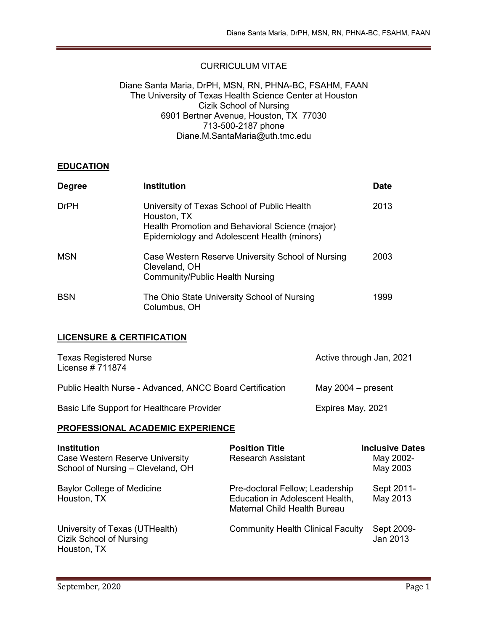## CURRICULUM VITAE

#### Diane Santa Maria, DrPH, MSN, RN, PHNA-BC, FSAHM, FAAN The University of Texas Health Science Center at Houston Cizik School of Nursing 6901 Bertner Avenue, Houston, TX 77030 713-500-2187 phone Diane.M.SantaMaria@uth.tmc.edu

### **EDUCATION**

| <b>Degree</b> | <b>Institution</b>                                                                                                                                           | <b>Date</b> |
|---------------|--------------------------------------------------------------------------------------------------------------------------------------------------------------|-------------|
| <b>DrPH</b>   | University of Texas School of Public Health<br>Houston, TX<br>Health Promotion and Behavioral Science (major)<br>Epidemiology and Adolescent Health (minors) | 2013        |
| <b>MSN</b>    | Case Western Reserve University School of Nursing<br>Cleveland, OH<br><b>Community/Public Health Nursing</b>                                                 | 2003        |
| <b>BSN</b>    | The Ohio State University School of Nursing<br>Columbus, OH                                                                                                  | 1999        |

### **LICENSURE & CERTIFICATION**

| <b>Texas Registered Nurse</b><br>License #711874         | Active through Jan, 2021 |  |
|----------------------------------------------------------|--------------------------|--|
| Public Health Nurse - Advanced, ANCC Board Certification | May $2004 -$ present     |  |
| Basic Life Support for Healthcare Provider               | Expires May, 2021        |  |

### **PROFESSIONAL ACADEMIC EXPERIENCE**

| <b>Institution</b><br>Case Western Reserve University<br>School of Nursing - Cleveland, OH | <b>Position Title</b><br><b>Research Assistant</b>                                                        | <b>Inclusive Dates</b><br>May 2002-<br>May 2003 |
|--------------------------------------------------------------------------------------------|-----------------------------------------------------------------------------------------------------------|-------------------------------------------------|
| <b>Baylor College of Medicine</b><br>Houston, TX                                           | Pre-doctoral Fellow; Leadership<br>Education in Adolescent Health,<br><b>Maternal Child Health Bureau</b> | Sept 2011-<br>May 2013                          |
| University of Texas (UTHealth)<br><b>Cizik School of Nursing</b><br>Houston, TX            | <b>Community Health Clinical Faculty</b>                                                                  | Sept 2009-<br>Jan 2013                          |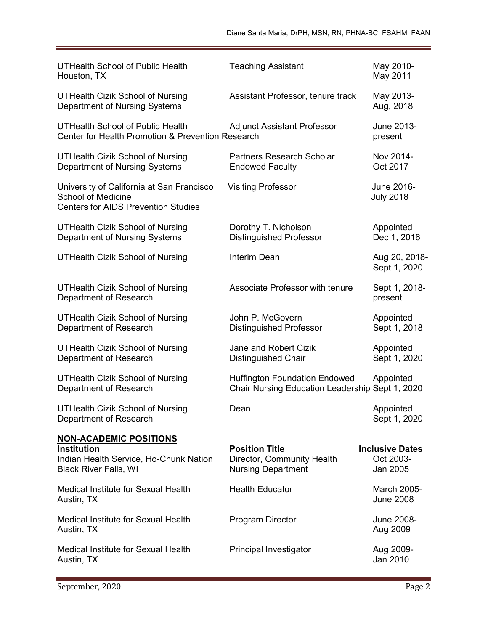| <b>UTHealth School of Public Health</b><br>Houston, TX                                                               | <b>Teaching Assistant</b>                                                               | May 2010-<br>May 2011                           |
|----------------------------------------------------------------------------------------------------------------------|-----------------------------------------------------------------------------------------|-------------------------------------------------|
| <b>UTHealth Cizik School of Nursing</b><br>Department of Nursing Systems                                             | Assistant Professor, tenure track                                                       | May 2013-<br>Aug, 2018                          |
| <b>UTHealth School of Public Health</b><br><b>Center for Health Promotion &amp; Prevention Research</b>              | <b>Adjunct Assistant Professor</b>                                                      | June 2013-<br>present                           |
| <b>UTHealth Cizik School of Nursing</b><br>Department of Nursing Systems                                             | <b>Partners Research Scholar</b><br><b>Endowed Faculty</b>                              | Nov 2014-<br>Oct 2017                           |
| University of California at San Francisco<br><b>School of Medicine</b><br><b>Centers for AIDS Prevention Studies</b> | <b>Visiting Professor</b>                                                               | June 2016-<br><b>July 2018</b>                  |
| <b>UTHealth Cizik School of Nursing</b><br>Department of Nursing Systems                                             | Dorothy T. Nicholson<br><b>Distinguished Professor</b>                                  | Appointed<br>Dec 1, 2016                        |
| <b>UTHealth Cizik School of Nursing</b>                                                                              | Interim Dean                                                                            | Aug 20, 2018-<br>Sept 1, 2020                   |
| <b>UTHealth Cizik School of Nursing</b><br>Department of Research                                                    | Associate Professor with tenure                                                         | Sept 1, 2018-<br>present                        |
| <b>UTHealth Cizik School of Nursing</b><br>Department of Research                                                    | John P. McGovern<br><b>Distinguished Professor</b>                                      | Appointed<br>Sept 1, 2018                       |
| <b>UTHealth Cizik School of Nursing</b><br>Department of Research                                                    | Jane and Robert Cizik<br><b>Distinguished Chair</b>                                     | Appointed<br>Sept 1, 2020                       |
| <b>UTHealth Cizik School of Nursing</b><br>Department of Research                                                    | <b>Huffington Foundation Endowed</b><br>Chair Nursing Education Leadership Sept 1, 2020 | Appointed                                       |
| <b>UTHealth Cizik School of Nursing</b><br>Department of Research                                                    | Dean                                                                                    | Appointed<br>Sept 1, 2020                       |
| <b>NON-ACADEMIC POSITIONS</b>                                                                                        |                                                                                         |                                                 |
| Institution<br>Indian Health Service, Ho-Chunk Nation<br><b>Black River Falls, WI</b>                                | <b>Position Title</b><br>Director, Community Health<br><b>Nursing Department</b>        | <b>Inclusive Dates</b><br>Oct 2003-<br>Jan 2005 |
| Medical Institute for Sexual Health<br>Austin, TX                                                                    | <b>Health Educator</b>                                                                  | March 2005-<br><b>June 2008</b>                 |
| <b>Medical Institute for Sexual Health</b><br>Austin, TX                                                             | <b>Program Director</b>                                                                 | June 2008-<br>Aug 2009                          |
| Medical Institute for Sexual Health<br>Austin, TX                                                                    | Principal Investigator                                                                  | Aug 2009-<br>Jan 2010                           |
|                                                                                                                      |                                                                                         |                                                 |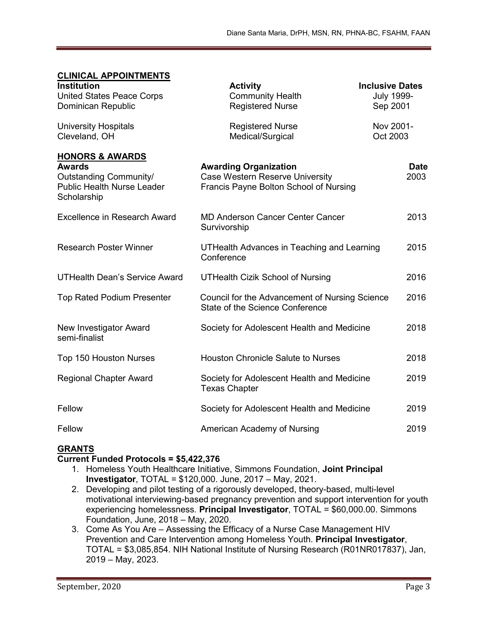### **CLINICAL APPOINTMENTS**

| <b>Institution</b><br><b>United States Peace Corps</b><br>Dominican Republic                                              | <b>Activity</b><br><b>Community Health</b><br><b>Registered Nurse</b>                                            | <b>Inclusive Dates</b><br><b>July 1999-</b><br>Sep 2001 |
|---------------------------------------------------------------------------------------------------------------------------|------------------------------------------------------------------------------------------------------------------|---------------------------------------------------------|
| <b>University Hospitals</b><br>Cleveland, OH                                                                              | <b>Registered Nurse</b><br>Medical/Surgical                                                                      | Nov 2001-<br>Oct 2003                                   |
| <b>HONORS &amp; AWARDS</b><br><b>Awards</b><br>Outstanding Community/<br><b>Public Health Nurse Leader</b><br>Scholarship | <b>Awarding Organization</b><br><b>Case Western Reserve University</b><br>Francis Payne Bolton School of Nursing | <b>Date</b><br>2003                                     |
| <b>Excellence in Research Award</b>                                                                                       | <b>MD Anderson Cancer Center Cancer</b><br>Survivorship                                                          | 2013                                                    |
| <b>Research Poster Winner</b>                                                                                             | UTHealth Advances in Teaching and Learning<br>Conference                                                         | 2015                                                    |
| <b>UTHealth Dean's Service Award</b>                                                                                      | <b>UTHealth Cizik School of Nursing</b>                                                                          | 2016                                                    |
| <b>Top Rated Podium Presenter</b>                                                                                         | Council for the Advancement of Nursing Science<br>State of the Science Conference                                | 2016                                                    |
| New Investigator Award<br>semi-finalist                                                                                   | Society for Adolescent Health and Medicine                                                                       | 2018                                                    |
| <b>Top 150 Houston Nurses</b>                                                                                             | <b>Houston Chronicle Salute to Nurses</b>                                                                        | 2018                                                    |
| <b>Regional Chapter Award</b>                                                                                             | Society for Adolescent Health and Medicine<br><b>Texas Chapter</b>                                               | 2019                                                    |
| Fellow                                                                                                                    | Society for Adolescent Health and Medicine                                                                       | 2019                                                    |
| Fellow                                                                                                                    | American Academy of Nursing                                                                                      | 2019                                                    |

### **GRANTS**

#### **Current Funded Protocols = \$5,422,376**

- 1. Homeless Youth Healthcare Initiative, Simmons Foundation, **Joint Principal Investigator**, TOTAL = \$120,000. June, 2017 – May, 2021.
- 2. Developing and pilot testing of a rigorously developed, theory-based, multi-level motivational interviewing-based pregnancy prevention and support intervention for youth experiencing homelessness. **Principal Investigator**, TOTAL = \$60,000.00. Simmons Foundation, June, 2018 – May, 2020.
- 3. Come As You Are Assessing the Efficacy of a Nurse Case Management HIV Prevention and Care Intervention among Homeless Youth. **Principal Investigator**, TOTAL = \$3,085,854. NIH National Institute of Nursing Research (R01NR017837), Jan, 2019 – May, 2023.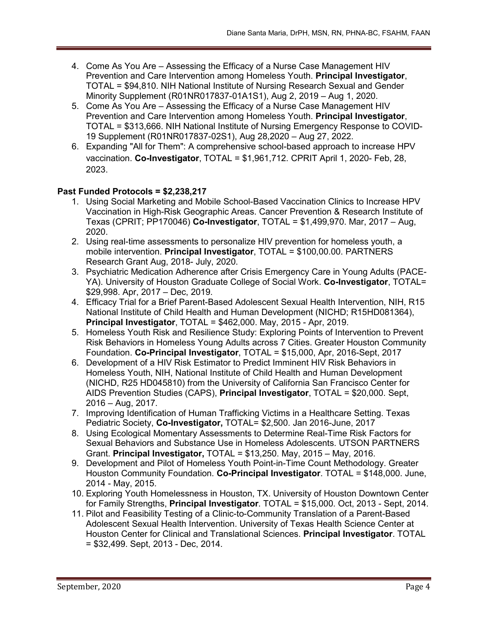- 4. Come As You Are Assessing the Efficacy of a Nurse Case Management HIV Prevention and Care Intervention among Homeless Youth. **Principal Investigator**, TOTAL = \$94,810. NIH National Institute of Nursing Research Sexual and Gender Minority Supplement (R01NR017837-01A1S1), Aug 2, 2019 – Aug 1, 2020.
- 5. Come As You Are Assessing the Efficacy of a Nurse Case Management HIV Prevention and Care Intervention among Homeless Youth. **Principal Investigator**, TOTAL = \$313,666. NIH National Institute of Nursing Emergency Response to COVID-19 Supplement (R01NR017837-02S1), Aug 28,2020 – Aug 27, 2022.
- 6. Expanding "All for Them": A comprehensive school-based approach to increase HPV vaccination. **Co-Investigator**, TOTAL = \$1,961,712. CPRIT April 1, 2020- Feb, 28, 2023.

### **Past Funded Protocols = \$2,238,217**

- 1. Using Social Marketing and Mobile School-Based Vaccination Clinics to Increase HPV Vaccination in High-Risk Geographic Areas. Cancer Prevention & Research Institute of Texas (CPRIT; PP170046) **Co-Investigator**, TOTAL = \$1,499,970. Mar, 2017 – Aug, 2020.
- 2. Using real-time assessments to personalize HIV prevention for homeless youth, a mobile intervention. **Principal Investigator**, TOTAL = \$100,00.00. PARTNERS Research Grant Aug, 2018- July, 2020.
- 3. Psychiatric Medication Adherence after Crisis Emergency Care in Young Adults (PACE-YA). University of Houston Graduate College of Social Work. **Co-Investigator**, TOTAL= \$29,998. Apr, 2017 – Dec, 2019.
- 4. Efficacy Trial for a Brief Parent-Based Adolescent Sexual Health Intervention, NIH, R15 National Institute of Child Health and Human Development (NICHD; R15HD081364), **Principal Investigator**, TOTAL = \$462,000. May, 2015 - Apr, 2019.
- 5. Homeless Youth Risk and Resilience Study: Exploring Points of Intervention to Prevent Risk Behaviors in Homeless Young Adults across 7 Cities. Greater Houston Community Foundation. **Co-Principal Investigator**, TOTAL = \$15,000, Apr, 2016-Sept, 2017
- 6. Development of a HIV Risk Estimator to Predict Imminent HIV Risk Behaviors in Homeless Youth, NIH, National Institute of Child Health and Human Development (NICHD, R25 HD045810) from the University of California San Francisco Center for AIDS Prevention Studies (CAPS), **Principal Investigator**, TOTAL = \$20,000. Sept, 2016 – Aug, 2017.
- 7. Improving Identification of Human Trafficking Victims in a Healthcare Setting. Texas Pediatric Society, **Co-Investigator,** TOTAL= \$2,500. Jan 2016-June, 2017
- 8. Using Ecological Momentary Assessments to Determine Real-Time Risk Factors for Sexual Behaviors and Substance Use in Homeless Adolescents. UTSON PARTNERS Grant. **Principal Investigator,** TOTAL = \$13,250. May, 2015 – May, 2016.
- 9. Development and Pilot of Homeless Youth Point-in-Time Count Methodology. Greater Houston Community Foundation. **Co-Principal Investigator**. TOTAL = \$148,000. June, 2014 - May, 2015.
- 10. Exploring Youth Homelessness in Houston, TX. University of Houston Downtown Center for Family Strengths, **Principal Investigator**. TOTAL = \$15,000. Oct, 2013 - Sept, 2014.
- 11. Pilot and Feasibility Testing of a Clinic-to-Community Translation of a Parent-Based Adolescent Sexual Health Intervention. University of Texas Health Science Center at Houston Center for Clinical and Translational Sciences. **Principal Investigator**. TOTAL = \$32,499. Sept, 2013 - Dec, 2014.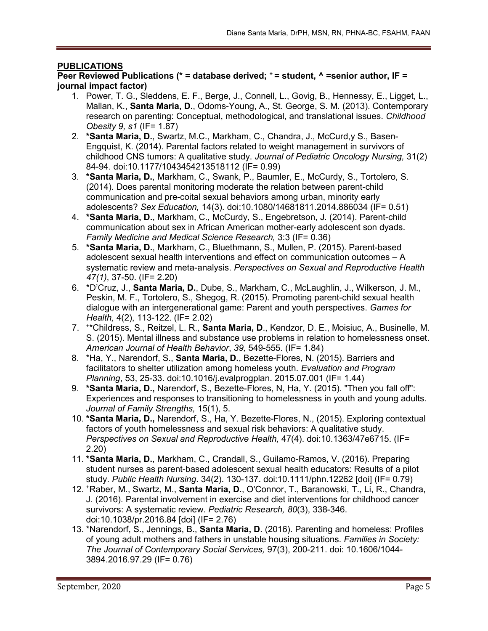### **PUBLICATIONS**

**Peer Reviewed Publications (\* = database derived; + = student, ^ =senior author, IF = journal impact factor)**

- 1. Power, T. G., Sleddens, E. F., Berge, J., Connell, L., Govig, B., Hennessy, E., Ligget, L., Mallan, K., **Santa Maria, D.**, Odoms-Young, A., St. George, S. M. (2013). Contemporary research on parenting: Conceptual, methodological, and translational issues. *Childhood Obesity 9, s1* (IF= 1.87)
- 2. **\*Santa Maria, D.**, Swartz, M.C., Markham, C., Chandra, J., McCurd,y S., Basen-Engquist, K. (2014). Parental factors related to weight management in survivors of childhood CNS tumors: A qualitative study. *Journal of Pediatric Oncology Nursing,* 31(2) 84-94. doi:10.1177/1043454213518112 (IF= 0.99)
- 3. **\*Santa Maria, D.**, Markham, C., Swank, P., Baumler, E., McCurdy, S., Tortolero, S. (2014). Does parental monitoring moderate the relation between parent-child communication and pre-coital sexual behaviors among urban, minority early adolescents? *Sex Education,* 14(3). doi:10.1080/14681811.2014.886034 (IF= 0.51)
- 4. **\*Santa Maria, D.**, Markham, C., McCurdy, S., Engebretson, J. (2014). Parent-child communication about sex in African American mother-early adolescent son dyads. *Family Medicine and Medical Science Research,* 3:3 (IF= 0.36)
- 5. **\*Santa Maria, D.**, Markham, C., Bluethmann, S., Mullen, P. (2015). Parent-based adolescent sexual health interventions and effect on communication outcomes – A systematic review and meta-analysis. *Perspectives on Sexual and Reproductive Health 47(1)*, 37-50. (IF= 2.20)
- 6. \*D'Cruz, J., **Santa Maria, D.**, Dube, S., Markham, C., McLaughlin, J., Wilkerson, J. M., Peskin, M. F., Tortolero, S., Shegog, R. (2015). Promoting parent-child sexual health dialogue with an intergenerational game: Parent and youth perspectives. *Games for Health,* 4(2), 113-122. (IF= 2.02)
- 7. +\*Childress, S., Reitzel, L. R., **Santa Maria, D**., Kendzor, D. E., Moisiuc, A., Businelle, M. S. (2015). Mental illness and substance use problems in relation to homelessness onset. *American Journal of Health Behavior*, *39,* 549-555. (IF= 1.84)
- 8. \*Ha, Y., Narendorf, S., **Santa Maria, D.**, Bezette-Flores, N. (2015). Barriers and facilitators to shelter utilization among homeless youth. *Evaluation and Program Planning*, 53, 25-33. [doi:10.1016/j.evalprogplan.](http://dx.doi.org/10.1016/j.evalprogplan.2015.07.001) 2015.07.001 (IF= 1.44)
- 9. **\*Santa Maria, D.,** Narendorf, S., Bezette-Flores, N, Ha, Y. (2015). "Then you fall off": Experiences and responses to transitioning to homelessness in youth and young adults. *Journal of Family Strengths,* 15(1), 5.
- 10. **\*Santa Maria, D.,** Narendorf, S., Ha, Y. Bezette-Flores, N., (2015). Exploring contextual factors of youth homelessness and sexual risk behaviors: A qualitative study. *Perspectives on Sexual and Reproductive Health,* 47(4). doi:10.1363/47e6715. (IF= 2.20)
- 11. **\*Santa Maria, D.**, Markham, C., Crandall, S., Guilamo-Ramos, V. (2016). Preparing student nurses as parent-based adolescent sexual health educators: Results of a pilot study. *Public Health Nursing*. 34(2). 130-137. doi:10.1111/phn.12262 [doi] (IF= 0.79)
- 12. +Raber, M., Swartz, M., **Santa Maria, D.**, O'Connor, T., Baranowski, T., Li, R., Chandra, J. (2016). Parental involvement in exercise and diet interventions for childhood cancer survivors: A systematic review. *Pediatric Research, 80*(3), 338-346. doi:10.1038/pr.2016.84 [doi] (IF= 2.76)
- 13. \*Narendorf, S., Jennings, B., **Santa Maria, D**. (2016). Parenting and homeless: Profiles of young adult mothers and fathers in unstable housing situations. *Families in Society: The Journal of Contemporary Social Services,* 97(3), 200-211. doi: 10.1606/1044- 3894.2016.97.29 (IF= 0.76)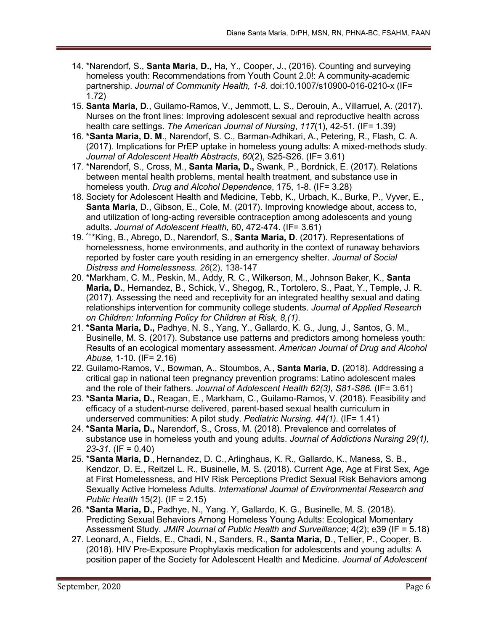- 14. \*Narendorf, S., **Santa Maria, D.,** Ha, Y., Cooper, J., (2016). Counting and surveying homeless youth: Recommendations from Youth Count 2.0!: A community-academic partnership. *Journal of Community Health, 1-8.* doi:10.1007/s10900-016-0210-x (IF= 1.72)
- 15. **Santa Maria, D**., Guilamo-Ramos, V., Jemmott, L. S., Derouin, A., Villarruel, A. (2017). Nurses on the front lines: Improving adolescent sexual and reproductive health across health care settings. *The American Journal of Nursing*, *117*(1), 42-51. (IF= 1.39)
- 16. **\*Santa Maria, D. M**., Narendorf, S. C., Barman-Adhikari, A., Petering, R., Flash, C. A. (2017). Implications for PrEP uptake in homeless young adults: A mixed-methods study. *Journal of Adolescent Health Abstracts*, *60*(2), S25-S26. (IF= 3.61)
- 17. \*Narendorf, S., Cross, M., **Santa Maria, D.,** Swank, P., Bordnick, E. (2017). Relations between mental health problems, mental health treatment, and substance use in homeless youth. *Drug and Alcohol Dependence*, 175, 1-8. (IF= 3.28)
- 18. Society for Adolescent Health and Medicine, Tebb, K., Urbach, K., Burke, P., Vyver, E., **Santa Maria**, D., Gibson, E., Cole, M. (2017). Improving knowledge about, access to, and utilization of long-acting reversible contraception among adolescents and young adults. *Journal of Adolescent Health,* 60, 472-474. (IF= 3.61)
- 19. ^+\*King, B., Abrego, D., Narendorf, S., **Santa Maria, D**. (2017). Representations of homelessness, home environments, and authority in the context of runaway behaviors reported by foster care youth residing in an emergency shelter. *Journal of Social Distress and Homelessness. 26*(2), 138-147
- 20. \*Markham, C. M., Peskin, M., Addy, R. C., Wilkerson, M., Johnson Baker, K., **Santa Maria, D.**, Hernandez, B., Schick, V., Shegog, R., Tortolero, S., Paat, Y., Temple, J. R. (2017). Assessing the need and receptivity for an integrated healthy sexual and dating relationships intervention for community college students. *Journal of Applied Research on Children: Informing Policy for Children at Risk, 8,(1)*.
- 21. **\*Santa Maria, D.,** Padhye, N. S., Yang, Y., Gallardo, K. G., Jung, J., Santos, G. M., Businelle, M. S. (2017). Substance use patterns and predictors among homeless youth: Results of an ecological momentary assessment. *American Journal of Drug and Alcohol Abuse,* 1-10. (IF= 2.16)
- 22. Guilamo-Ramos, V., Bowman, A., Stoumbos, A., **Santa Maria, D.** (2018). Addressing a critical gap in national teen pregnancy prevention programs: Latino adolescent males and the role of their fathers. *Journal of Adolescent Health 62(3), S81-S86.* (IF= 3.61)
- 23. **\*Santa Maria, D.,** Reagan, E., Markham, C., Guilamo-Ramos, V. (2018). Feasibility and efficacy of a student-nurse delivered, parent-based sexual health curriculum in underserved communities: A pilot study. *Pediatric Nursing. 44(1).* (IF= 1.41)
- 24. **\*Santa Maria, D.,** Narendorf, S., Cross, M. (2018). Prevalence and correlates of substance use in homeless youth and young adults. *Journal of Addictions Nursing 29(1), 23-31.* (IF = 0.40)
- 25. \***Santa Maria, D**., Hernandez, D. C., Arlinghaus, K. R., Gallardo, K., Maness, S. B., Kendzor, D. E., Reitzel L. R., Businelle, M. S. (2018). Current Age, Age at First Sex, Age at First Homelessness, and HIV Risk Perceptions Predict Sexual Risk Behaviors among Sexually Active Homeless Adults. *International Journal of Environmental Research and Public Health* 15(2). (IF = 2.15)
- 26. **\*Santa Maria, D.,** Padhye, N., Yang. Y, Gallardo, K. G., Businelle, M. S. (2018). Predicting Sexual Behaviors Among Homeless Young Adults: Ecological Momentary Assessment Study. *JMIR Journal of Public Health and Surveillance*; 4(2); e39 (IF = 5.18)
- 27. Leonard, A., Fields, E., Chadi, N., Sanders, R., **Santa Maria, D**., Tellier, P., Cooper, B. (2018). HIV Pre-Exposure Prophylaxis medication for adolescents and young adults: A position paper of the Society for Adolescent Health and Medicine. *Journal of Adolescent*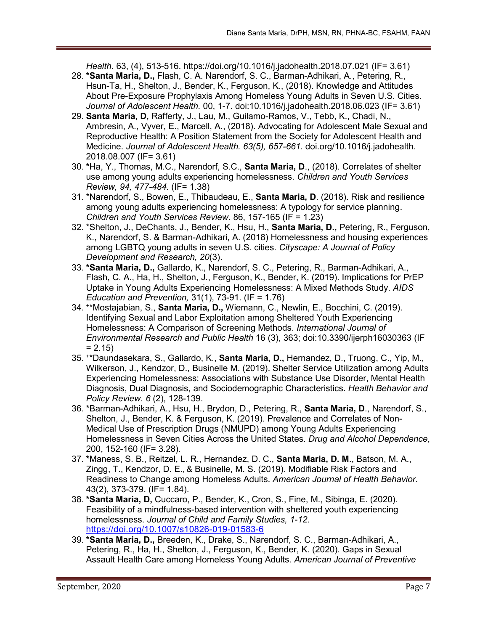*Health*. 63, (4), 513-516.<https://doi.org/10.1016/j.jadohealth.2018.07.021> (IF= 3.61)

- 28. **\*Santa Maria, D.,** Flash, C. A. Narendorf, S. C., Barman-Adhikari, A., Petering, R., Hsun-Ta, H., Shelton, J., Bender, K., Ferguson, K., (2018). Knowledge and Attitudes About Pre-Exposure Prophylaxis Among Homeless Young Adults in Seven U.S. Cities. *Journal of Adolescent Health.* 00, 1-7. doi:10.1016/j.jadohealth.2018.06.023 (IF= 3.61)
- 29. **Santa Maria, D,** Rafferty, J., Lau, M., Guilamo-Ramos, V., Tebb, K., Chadi, N., Ambresin, A., Vyver, E., Marcell, A., (2018). Advocating for Adolescent Male Sexual and Reproductive Health: A Position Statement from the Society for Adolescent Health and Medicine. *Journal of Adolescent Health. 63(5), 657-661.* [doi.org/10.1016/j.jadohealth.](https://doi.org/10.1016/j.jadohealth.2018.08.007) [2018.08.007](https://doi.org/10.1016/j.jadohealth.2018.08.007) (IF= 3.61)
- 30. **\***Ha, Y., Thomas, M.C., Narendorf, S.C., **Santa Maria, D**., (2018). Correlates of shelter use among young adults experiencing homelessness. *Children and Youth Services Review, 94, 477-484.* (IF= 1.38)
- 31. \*Narendorf, S., Bowen, E., Thibaudeau, E., **Santa Maria, D**. (2018). [Risk and resilience](https://urldefense.proofpoint.com/v2/url?u=https-3A__www.sciencedirect.com_science_article_pii_S0190740917308162&d=DwMFAg&c=6vgNTiRn9_pqCD9hKx9JgXN1VapJQ8JVoF8oWH1AgfQ&r=m79WUu438MrRbwXPhyipMguoIgdCx9stdrj7-80G12M&m=UaibAB4gldXMhFmf6CzauPxe6Q_Mx7fJ_i6dLKslAck&s=F90aonYyfwRqksRRyKZLFdwzpoS8Nu2NqAkB0ad5sKA&e=)  [among young adults experiencing homelessness: A typology for service planning.](https://urldefense.proofpoint.com/v2/url?u=https-3A__www.sciencedirect.com_science_article_pii_S0190740917308162&d=DwMFAg&c=6vgNTiRn9_pqCD9hKx9JgXN1VapJQ8JVoF8oWH1AgfQ&r=m79WUu438MrRbwXPhyipMguoIgdCx9stdrj7-80G12M&m=UaibAB4gldXMhFmf6CzauPxe6Q_Mx7fJ_i6dLKslAck&s=F90aonYyfwRqksRRyKZLFdwzpoS8Nu2NqAkB0ad5sKA&e=) *Children and Youth Services Review*. 86, 157-165 (IF = 1.23)
- 32. \*Shelton, J., DeChants, J., Bender, K., Hsu, H., **Santa Maria, D.,** Petering, R., Ferguson, K., Narendorf, S. & Barman-Adhikari, A. (2018) Homelessness and housing experiences among LGBTQ young adults in seven U.S. cities. *Cityscape: A Journal of Policy Development and Research, 20*(3).
- 33. **\*Santa Maria, D.,** Gallardo, K., Narendorf, S. C., Petering, R., Barman-Adhikari, A., Flash, C. A., Ha, H., Shelton, J., Ferguson, K., Bender, K. (2019). Implications for PrEP Uptake in Young Adults Experiencing Homelessness: A Mixed Methods Study. *AIDS Education and Prevention,* 31(1), 73-91. (IF = 1.76)
- 34. +\*Mostajabian, S., **Santa Maria, D.,** Wiemann, C., Newlin, E., Bocchini, C. (2019). Identifying Sexual and Labor Exploitation among Sheltered Youth Experiencing Homelessness: A Comparison of Screening Methods. *International Journal of Environmental Research and Public Health* 16 (3), 363; doi[:10.3390/ijerph16030363](https://dx.doi.org/10.3390/ijerph16030363) (IF  $= 2.15$
- 35. +\*Daundasekara, S., Gallardo, K., **Santa Maria, D.,** Hernandez, D., Truong, C., Yip, M., Wilkerson, J., Kendzor, D., Businelle M. (2019). Shelter Service Utilization among Adults Experiencing Homelessness: Associations with Substance Use Disorder, Mental Health Diagnosis, Dual Diagnosis, and Sociodemographic Characteristics. *Health Behavior and Policy Review. 6* (2), 128-139.
- 36. \*Barman-Adhikari, A., Hsu, H., Brydon, D., Petering, R., **Santa Maria, D**., Narendorf, S., Shelton, J., Bender, K. & Ferguson, K. (2019). Prevalence and Correlates of Non-Medical Use of Prescription Drugs (NMUPD) among Young Adults Experiencing Homelessness in Seven Cities Across the United States. *Drug and Alcohol Dependence*, 200, 152-160 (IF= 3.28).
- 37. **\***Maness, S. B., Reitzel, L. R., Hernandez, D. C., **Santa Maria, D. M**., Batson, M. A., Zingg, T., Kendzor, D. E., & Businelle, M. S. (2019). Modifiable Risk Factors and Readiness to Change among Homeless Adults. *American Journal of Health Behavior*. 43(2), 373-379. (IF= 1.84).
- 38. **\*Santa Maria, D,** Cuccaro, P., Bender, K., Cron, S., Fine, M., Sibinga, E. (2020). Feasibility of a mindfulness-based intervention with sheltered youth experiencing homelessness. *Journal of Child and Family Studies, 1-12*. <https://doi.org/10.1007/s10826-019-01583-6>
- 39. **\*Santa Maria, D.,** Breeden, K., Drake, S., Narendorf, S. C., Barman-Adhikari, A., Petering, R., Ha, H., Shelton, J., Ferguson, K., Bender, K. (2020). Gaps in Sexual Assault Health Care among Homeless Young Adults. *American Journal of Preventive*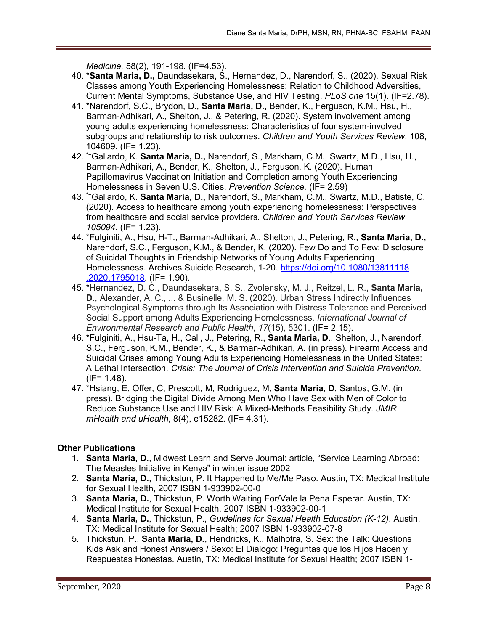*Medicine.* 58(2), 191-198. (IF=4.53).

- 40. \***Santa Maria, D.,** Daundasekara, S., Hernandez, D., Narendorf, S., (2020). Sexual Risk Classes among Youth Experiencing Homelessness: Relation to Childhood Adversities, Current Mental Symptoms, Substance Use, and HIV Testing. *PLoS one* 15(1). (IF=2.78).
- 41. \*Narendorf, S.C., Brydon, D., **Santa Maria, D.,** Bender, K., Ferguson, K.M., Hsu, H., Barman-Adhikari, A., Shelton, J., & Petering, R. (2020). System involvement among young adults experiencing homelessness: Characteristics of four system-involved subgroups and relationship to risk outcomes. *Children and Youth Services Review*. 108, 104609. (IF= 1.23).
- 42. \*+Gallardo, K. **Santa Maria, D.,** Narendorf, S., Markham, C.M., Swartz, M.D., Hsu, H., Barman-Adhikari, A., Bender, K., Shelton, J., Ferguson, K. (2020). Human Papillomavirus Vaccination Initiation and Completion among Youth Experiencing Homelessness in Seven U.S. Cities. *Prevention Science.* (IF= 2.59)
- 43. \*+Gallardo, K. **Santa Maria, D.,** Narendorf, S., Markham, C.M., Swartz, M.D., Batiste, C. (2020). Access to healthcare among youth experiencing homelessness: Perspectives from healthcare and social service providers. *Children and Youth Services Review 105094.* (IF= 1.23).
- 44. \*Fulginiti, A., Hsu, H-T., Barman-Adhikari, A., Shelton, J., Petering, R., **Santa Maria, D.,** Narendorf, S.C., Ferguson, K.M., & Bender, K. (2020). Few Do and To Few: Disclosure of Suicidal Thoughts in Friendship Networks of Young Adults Experiencing Homelessness. Archives Suicide Research, 1-20. [https://doi.org/10.1080/13811118](https://doi.org/10.1080/13811118%20.2020.1795018)  [.2020.1795018.](https://doi.org/10.1080/13811118%20.2020.1795018) (IF= 1.90).
- 45. \*Hernandez, D. C., Daundasekara, S. S., Zvolensky, M. J., Reitzel, L. R., **Santa Maria, D.**, Alexander, A. C., ... & Businelle, M. S. (2020). Urban Stress Indirectly Influences Psychological Symptoms through Its Association with Distress Tolerance and Perceived Social Support among Adults Experiencing Homelessness. *International Journal of Environmental Research and Public Health*, *17*(15), 5301. (IF= 2.15).
- 46. \*Fulginiti, A., Hsu-Ta, H., Call, J., Petering, R., **Santa Maria, D**., Shelton, J., Narendorf, S.C., Ferguson, K.M., Bender, K., & Barman-Adhikari, A. (in press). Firearm Access and Suicidal Crises among Young Adults Experiencing Homelessness in the United States: A Lethal Intersection. *Crisis: The Journal of Crisis Intervention and Suicide Prevention*.  $(IF = 1.48)$ .
- 47. \*Hsiang, E, Offer, C, Prescott, M, Rodriguez, M, **Santa Maria, D**, Santos, G.M. (in press). Bridging the Digital Divide Among Men Who Have Sex with Men of Color to Reduce Substance Use and HIV Risk: A Mixed-Methods Feasibility Study. *JMIR mHealth and uHealth*, 8(4), e15282. (IF= 4.31).

### **Other Publications**

- 1. **Santa Maria, D.**, Midwest Learn and Serve Journal: article, "Service Learning Abroad: The Measles Initiative in Kenya" in winter issue 2002
- 2. **Santa Maria, D.**, Thickstun, P. It Happened to Me/Me Paso. Austin, TX: Medical Institute for Sexual Health, 2007 ISBN 1-933902-00-0
- 3. **Santa Maria, D.**, Thickstun, P. Worth Waiting For/Vale la Pena Esperar. Austin, TX: Medical Institute for Sexual Health, 2007 ISBN 1-933902-00-1
- 4. **Santa Maria, D.**, Thickstun, P., *Guidelines for Sexual Health Education (K-12)*. Austin, TX: Medical Institute for Sexual Health; 2007 ISBN 1-933902-07-8
- 5. Thickstun, P., **Santa Maria, D.**, Hendricks, K., Malhotra, S. Sex: the Talk: Questions Kids Ask and Honest Answers / Sexo: El Dialogo: Preguntas que los Hijos Hacen y Respuestas Honestas. Austin, TX: Medical Institute for Sexual Health; 2007 ISBN 1-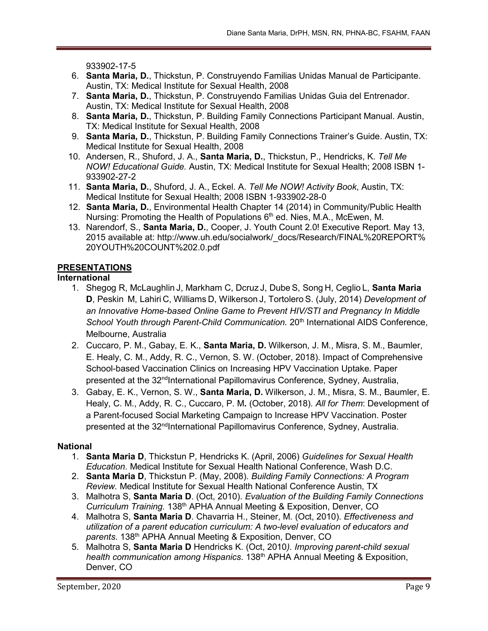933902-17-5

- 6. **Santa Maria, D.**, Thickstun, P. Construyendo Familias Unidas Manual de Participante. Austin, TX: Medical Institute for Sexual Health, 2008
- 7. **Santa Maria, D.**, Thickstun, P. Construyendo Familias Unidas Guia del Entrenador. Austin, TX: Medical Institute for Sexual Health, 2008
- 8. **Santa Maria, D.**, Thickstun, P. Building Family Connections Participant Manual. Austin, TX: Medical Institute for Sexual Health, 2008
- 9. **Santa Maria, D.**, Thickstun, P. Building Family Connections Trainer's Guide. Austin, TX: Medical Institute for Sexual Health, 2008
- 10. Andersen, R., Shuford, J. A., **Santa Maria, D.**, Thickstun, P., Hendricks, K. *Tell Me NOW! Educational Guide.* Austin, TX: Medical Institute for Sexual Health; 2008 ISBN 1- 933902-27-2
- 11. **Santa Maria, D.**, Shuford, J. A., Eckel. A. *Tell Me NOW! Activity Book*, Austin, TX: Medical Institute for Sexual Health; 2008 ISBN 1-933902-28-0
- 12. **Santa Maria, D.**, Environmental Health Chapter 14 (2014) in Community/Public Health Nursing: Promoting the Health of Populations 6<sup>th</sup> ed. Nies, M.A., McEwen, M.
- 13. Narendorf, S., **Santa Maria, D.**, Cooper, J. Youth Count 2.0! Executive Report. May 13, 2015 available at: [http://www.uh.edu/socialwork/\\_docs/Research/FINAL%20R](http://www.uh.edu/socialwork/_docs/Research/FINAL)EPORT% 20YOUTH%20COUNT%202.0.pdf

# **PRESENTATIONS**

### **International**

- 1. Shegog R, McLaughlin J, Markham C, Dcruz J, Dube S, Song H, Ceglio L, **Santa Maria D**, Peskin M, Lahiri C, Williams D, Wilkerson J, Tortolero S. (July, 2014) *Development of an Innovative Home-based Online Game to Prevent HIV/STI and Pregnancy In Middle*  School Youth through Parent-Child Communication. 20<sup>th</sup> International AIDS Conference, Melbourne, Australia
- 2. Cuccaro, P. M., Gabay, E. K., **Santa Maria, D.** Wilkerson, J. M., Misra, S. M., Baumler, E. Healy, C. M., Addy, R. C., Vernon, S. W. (October, 2018). Impact of Comprehensive School-based Vaccination Clinics on Increasing HPV Vaccination Uptake. Paper presented at the 32<sup>nd</sup>International Papillomavirus Conference, Sydney, Australia,
- 3. Gabay, E. K., Vernon, S. W., **Santa Maria, D.** Wilkerson, J. M., Misra, S. M., Baumler, E. Healy, C. M., Addy, R. C., Cuccaro, P. M**.** (October, 2018). *All for Them*: Development of a Parent-focused Social Marketing Campaign to Increase HPV Vaccination. Poster presented at the 32<sup>nd</sup>International Papillomavirus Conference, Sydney, Australia.

### **National**

- 1. **Santa Maria D**, Thickstun P, Hendricks K. (April, 2006) *Guidelines for Sexual Health Education*. Medical Institute for Sexual Health National Conference, Wash D.C.
- 2. **Santa Maria D**, Thickstun P. (May, 2008). *Building Family Connections: A Program Review.* Medical Institute for Sexual Health National Conference Austin, TX
- 3. Malhotra S, **Santa Maria D**. (Oct, 2010). *Evaluation of the Building Family Connections Curriculum Training.* 138th APHA Annual Meeting & Exposition, Denver, CO
- 4. Malhotra S, **Santa Maria D**. Chavarria H., Steiner, M. (Oct, 2010). *[Effectiveness and](https://www.researchgate.net/publication/266902804_Effectiveness_and_utilization_of_a_parent_education_curriculum_A_two-level_evaluation_of_educators_and_parents?ev=prf_pub)  [utilization of a parent education curriculum: A two-level evaluation of educators and](https://www.researchgate.net/publication/266902804_Effectiveness_and_utilization_of_a_parent_education_curriculum_A_two-level_evaluation_of_educators_and_parents?ev=prf_pub)  [parents](https://www.researchgate.net/publication/266902804_Effectiveness_and_utilization_of_a_parent_education_curriculum_A_two-level_evaluation_of_educators_and_parents?ev=prf_pub)*. 138th APHA Annual Meeting & Exposition, Denver, CO
- 5. Malhotra S, **Santa Maria D** Hendricks K. (Oct, 2010*). [Improving parent-child sexual](https://www.researchgate.net/publication/266901943_Improving_parent-child_sexual_health_communication_among_Hispanics?ev=prf_pub)  [health communication among Hispanics](https://www.researchgate.net/publication/266901943_Improving_parent-child_sexual_health_communication_among_Hispanics?ev=prf_pub)*. 138th APHA Annual Meeting & Exposition, Denver, CO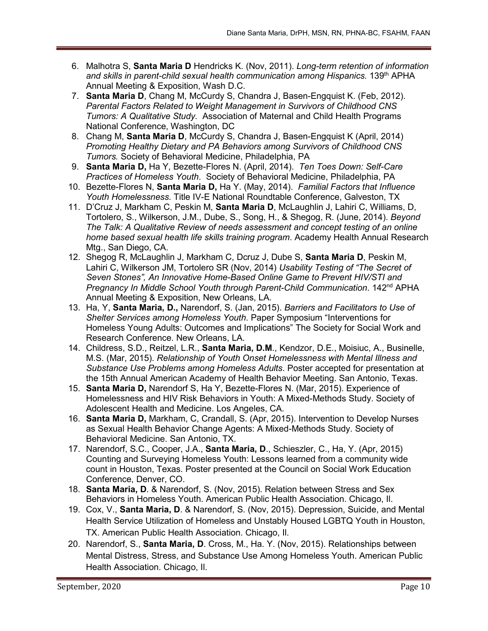- 6. Malhotra S, **Santa Maria D** Hendricks K. (Nov, 2011). *Long-term retention of information and skills in parent-child sexual health communication among Hispanics.* 139th APHA Annual Meeting & Exposition, Wash D.C.
- 7. **Santa Maria D**, Chang M, McCurdy S, Chandra J, Basen-Engquist K. (Feb, 2012). *Parental Factors Related to Weight Management in Survivors of Childhood CNS Tumors: A Qualitative Study.* Association of Maternal and Child Health Programs National Conference, Washington, DC
- 8. Chang M, **Santa Maria D**, McCurdy S, Chandra J, Basen-Engquist K (April, 2014) *Promoting Healthy Dietary and PA Behaviors among Survivors of Childhood CNS Tumors.* Society of Behavioral Medicine, Philadelphia, PA
- 9. **Santa Maria D,** Ha Y, Bezette-Flores N. (April, 2014). *Ten Toes Down: Self-Care Practices of Homeless Youth*. Society of Behavioral Medicine, Philadelphia, PA
- 10. Bezette-Flores N, **Santa Maria D,** Ha Y. (May, 2014). *Familial Factors that Influence Youth Homelessness.* Title IV-E National Roundtable Conference, Galveston, TX
- 11. D'Cruz J, Markham C, Peskin M, **Santa Maria D**, McLaughlin J, Lahiri C, Williams, D, Tortolero, S., Wilkerson, J.M., Dube, S., Song, H., & Shegog, R. (June, 2014). *Beyond The Talk: A Qualitative Review of needs assessment and concept testing of an online home based sexual health life skills training program*. Academy Health Annual Research Mtg., San Diego, CA.
- 12. Shegog R, McLaughlin J, Markham C, Dcruz J, Dube S, **Santa Maria D**, Peskin M, Lahiri C, Wilkerson JM, Tortolero SR (Nov, 2014) *Usability Testing of "The Secret of Seven Stones", An Innovative Home-Based Online Game to Prevent HIV/STI and Pregnancy In Middle School Youth through Parent-Child Communication*. 142nd APHA Annual Meeting & Exposition, New Orleans, LA.
- 13. Ha, Y, **Santa Maria, D.,** Narendorf, S. (Jan, 2015). *Barriers and Facilitators to Use of Shelter Services among Homeless Youth*. Paper Symposium "Interventions for Homeless Young Adults: Outcomes and Implications" The Society for Social Work and Research Conference. New Orleans, LA.
- 14. Childress, S.D., Reitzel, L.R., **Santa Maria, D.M**., Kendzor, D.E., Moisiuc, A., Businelle, M.S. (Mar, 2015). *Relationship of Youth Onset Homelessness with Mental Illness and Substance Use Problems among Homeless Adults*. Poster accepted for presentation at the 15th Annual American Academy of Health Behavior Meeting. San Antonio, Texas.
- 15. **Santa Maria D,** Narendorf S, Ha Y, Bezette-Flores N. (Mar, 2015). Experience of Homelessness and HIV Risk Behaviors in Youth: A Mixed-Methods Study. Society of Adolescent Health and Medicine. Los Angeles, CA.
- 16. **Santa Maria D,** Markham, C, Crandall, S. (Apr, 2015). Intervention to Develop Nurses as Sexual Health Behavior Change Agents: A Mixed-Methods Study. Society of Behavioral Medicine. San Antonio, TX.
- 17. Narendorf, S.C., Cooper, J.A., **Santa Maria, D**., Schieszler, C., Ha, Y. (Apr, 2015) Counting and Surveying Homeless Youth: Lessons learned from a community wide count in Houston, Texas. Poster presented at the Council on Social Work Education Conference, Denver, CO.
- 18. **Santa Maria, D**. & Narendorf, S. (Nov, 2015). Relation between Stress and Sex Behaviors in Homeless Youth. American Public Health Association. Chicago, Il.
- 19. Cox, V., **Santa Maria, D**. & Narendorf, S. (Nov, 2015). Depression, Suicide, and Mental Health Service Utilization of Homeless and Unstably Housed LGBTQ Youth in Houston, TX. American Public Health Association. Chicago, Il.
- 20. Narendorf, S., **Santa Maria, D**. Cross, M., Ha. Y. (Nov, 2015). Relationships between Mental Distress, Stress, and Substance Use Among Homeless Youth. American Public Health Association. Chicago, Il.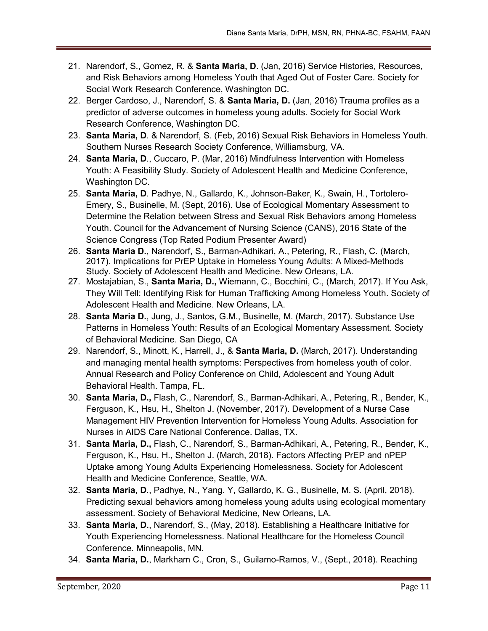- 21. Narendorf, S., Gomez, R. & **Santa Maria, D**. (Jan, 2016) Service Histories, Resources, and Risk Behaviors among Homeless Youth that Aged Out of Foster Care. Society for Social Work Research Conference, Washington DC.
- 22. Berger Cardoso, J., Narendorf, S. & **Santa Maria, D.** (Jan, 2016) Trauma profiles as a predictor of adverse outcomes in homeless young adults. Society for Social Work Research Conference, Washington DC.
- 23. **Santa Maria, D**. & Narendorf, S. (Feb, 2016) Sexual Risk Behaviors in Homeless Youth. Southern Nurses Research Society Conference, Williamsburg, VA.
- 24. **Santa Maria, D**., Cuccaro, P. (Mar, 2016) Mindfulness Intervention with Homeless Youth: A Feasibility Study. Society of Adolescent Health and Medicine Conference, Washington DC.
- 25. **Santa Maria, D**. Padhye, N., Gallardo, K., Johnson-Baker, K., Swain, H., Tortolero-Emery, S., Businelle, M. (Sept, 2016). Use of Ecological Momentary Assessment to Determine the Relation between Stress and Sexual Risk Behaviors among Homeless Youth. Council for the Advancement of Nursing Science (CANS), 2016 State of the Science Congress (Top Rated Podium Presenter Award)
- 26. **Santa Maria D.**, Narendorf, S., Barman-Adhikari, A., Petering, R., Flash, C. (March, 2017). Implications for PrEP Uptake in Homeless Young Adults: A Mixed-Methods Study. Society of Adolescent Health and Medicine. New Orleans, LA.
- 27. Mostajabian, S., **Santa Maria, D.,** Wiemann, C., Bocchini, C., (March, 2017). If You Ask, They Will Tell: Identifying Risk for Human Trafficking Among Homeless Youth. Society of Adolescent Health and Medicine. New Orleans, LA.
- 28. **Santa Maria D.**, Jung, J., Santos, G.M., Businelle, M. (March, 2017). Substance Use Patterns in Homeless Youth: Results of an Ecological Momentary Assessment. Society of Behavioral Medicine. San Diego, CA
- 29. Narendorf, S., Minott, K., Harrell, J., & **Santa Maria, D.** (March, 2017). Understanding and managing mental health symptoms: Perspectives from homeless youth of color. Annual Research and Policy Conference on Child, Adolescent and Young Adult Behavioral Health. Tampa, FL.
- 30. **Santa Maria, D.,** Flash, C., Narendorf, S., Barman-Adhikari, A., Petering, R., Bender, K., Ferguson, K., Hsu, H., Shelton J. (November, 2017). Development of a Nurse Case Management HIV Prevention Intervention for Homeless Young Adults. Association for Nurses in AIDS Care National Conference. Dallas, TX.
- 31. **Santa Maria, D.,** Flash, C., Narendorf, S., Barman-Adhikari, A., Petering, R., Bender, K., Ferguson, K., Hsu, H., Shelton J. (March, 2018). Factors Affecting PrEP and nPEP Uptake among Young Adults Experiencing Homelessness. Society for Adolescent Health and Medicine Conference, Seattle, WA.
- 32. **Santa Maria, D**., Padhye, N., Yang. Y, Gallardo, K. G., Businelle, M. S. (April, 2018). Predicting sexual behaviors among homeless young adults using ecological momentary assessment. Society of Behavioral Medicine, New Orleans, LA.
- 33. **Santa Maria, D.**, Narendorf, S., (May, 2018). Establishing a Healthcare Initiative for Youth Experiencing Homelessness. National Healthcare for the Homeless Council Conference. Minneapolis, MN.
- 34. **Santa Maria, D.**, Markham C., Cron, S., Guilamo-Ramos, V., (Sept., 2018). Reaching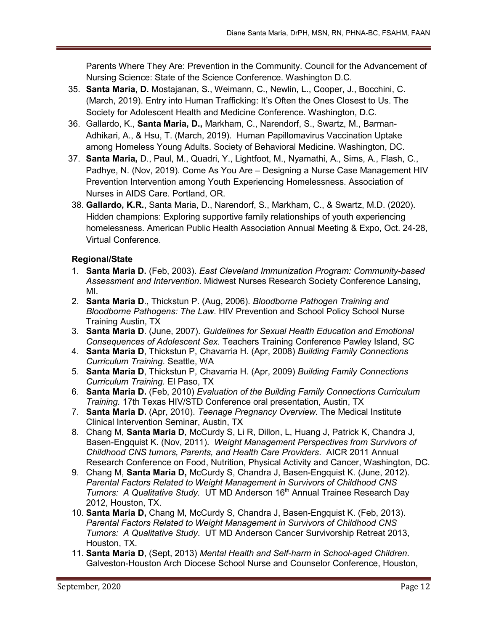Parents Where They Are: Prevention in the Community. Council for the Advancement of Nursing Science: State of the Science Conference. Washington D.C.

- 35. **Santa Maria, D.** Mostajanan, S., Weimann, C., Newlin, L., Cooper, J., Bocchini, C. (March, 2019). Entry into Human Trafficking: It's Often the Ones Closest to Us. The Society for Adolescent Health and Medicine Conference. Washington, D.C.
- 36. Gallardo, K., **Santa Maria, D.,** Markham, C., Narendorf, S., Swartz, M., Barman-Adhikari, A., & Hsu, T. (March, 2019). Human Papillomavirus Vaccination Uptake among Homeless Young Adults. Society of Behavioral Medicine. Washington, DC.
- 37. **Santa Maria,** D., Paul, M., Quadri, Y., Lightfoot, M., Nyamathi, A., Sims, A., Flash, C., Padhye, N. (Nov, 2019). Come As You Are – Designing a Nurse Case Management HIV Prevention Intervention among Youth Experiencing Homelessness. Association of Nurses in AIDS Care. Portland, OR.
- 38. **Gallardo, K.R.**, Santa Maria, D., Narendorf, S., Markham, C., & Swartz, M.D. (2020). Hidden champions: Exploring supportive family relationships of youth experiencing homelessness. American Public Health Association Annual Meeting & Expo, Oct. 24-28, Virtual Conference.

## **Regional/State**

- 1. **Santa Maria D.** (Feb, 2003). *East Cleveland Immunization Program: Community-based Assessment and Intervention*. Midwest Nurses Research Society Conference Lansing, MI.
- 2. **Santa Maria D**., Thickstun P. (Aug, 2006). *Bloodborne Pathogen Training and Bloodborne Pathogens: The Law*. HIV Prevention and School Policy School Nurse Training Austin, TX
- 3. **Santa Maria D**. (June, 2007). *Guidelines for Sexual Health Education and Emotional Consequences of Adolescent Sex.* Teachers Training Conference Pawley Island, SC
- 4. **Santa Maria D**, Thickstun P, Chavarria H. (Apr, 2008) *Building Family Connections Curriculum Training*. Seattle, WA
- 5. **Santa Maria D**, Thickstun P, Chavarria H. (Apr, 2009) *Building Family Connections Curriculum Training.* El Paso, TX
- 6. **Santa Maria D.** (Feb, 2010) *Evaluation of the Building Family Connections Curriculum Training.* 17th Texas HIV/STD Conference oral presentation, Austin, TX
- 7. **Santa Maria D.** (Apr, 2010). *Teenage Pregnancy Overview.* The Medical Institute Clinical Intervention Seminar, Austin, TX
- 8. Chang M, **Santa Maria D**, McCurdy S, Li R, Dillon, L, Huang J, Patrick K, Chandra J, Basen-Engquist K. (Nov, 2011). *Weight Management Perspectives from Survivors of Childhood CNS tumors, Parents, and Health Care Providers*. AICR 2011 Annual Research Conference on Food, Nutrition, Physical Activity and Cancer, Washington, DC.
- 9. Chang M, **Santa Maria D,** McCurdy S, Chandra J, Basen-Engquist K. (June, 2012). *Parental Factors Related to Weight Management in Survivors of Childhood CNS Tumors: A Qualitative Study.* UT MD Anderson 16<sup>th</sup> Annual Trainee Research Day 2012, Houston, TX.
- 10. **Santa Maria D,** Chang M, McCurdy S, Chandra J, Basen-Engquist K. (Feb, 2013). *Parental Factors Related to Weight Management in Survivors of Childhood CNS Tumors: A Qualitative Study*. UT MD Anderson Cancer Survivorship Retreat 2013, Houston, TX.
- 11. **Santa Maria D**, (Sept, 2013) *Mental Health and Self-harm in School-aged Children*. Galveston-Houston Arch Diocese School Nurse and Counselor Conference, Houston,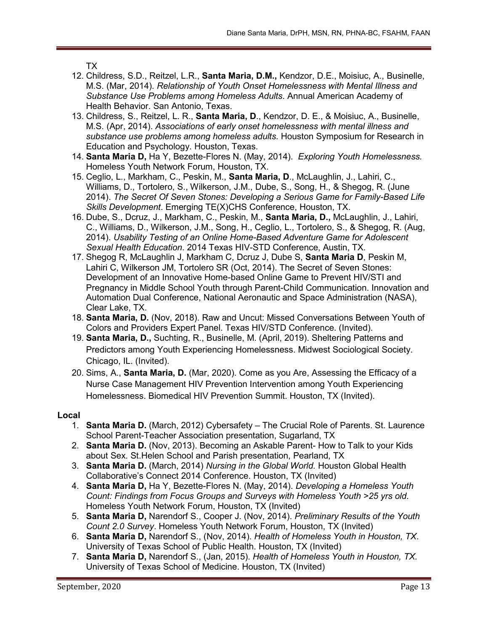TX

- 12. Childress, S.D., Reitzel, L.R., **Santa Maria, D.M.,** Kendzor, D.E., Moisiuc, A., Businelle, M.S. (Mar, 2014). *Relationship of Youth Onset Homelessness with Mental Illness and Substance Use Problems among Homeless Adults*. Annual American Academy of Health Behavior. San Antonio, Texas.
- 13. Childress, S., Reitzel, L. R., **Santa Maria, D**., Kendzor, D. E., & Moisiuc, A., Businelle, M.S. (Apr, 2014). *Associations of early onset homelessness with mental illness and substance use problems among homeless adults.* Houston Symposium for Research in Education and Psychology. Houston, Texas.
- 14. **Santa Maria D,** Ha Y, Bezette-Flores N. (May, 2014). *Exploring Youth Homelessness.* Homeless Youth Network Forum, Houston, TX.
- 15. Ceglio, L., Markham, C., Peskin, M., **Santa Maria, D**., McLaughlin, J., Lahiri, C., Williams, D., Tortolero, S., Wilkerson, J.M., Dube, S., Song, H., & Shegog, R. (June 2014). *The Secret Of Seven Stones: Developing a Serious Game for Family-Based Life Skills Development*. Emerging TE(X)CHS Conference, Houston, TX.
- 16. Dube, S., Dcruz, J., Markham, C., Peskin, M., **Santa Maria, D.,** McLaughlin, J., Lahiri, C., Williams, D., Wilkerson, J.M., Song, H., Ceglio, L., Tortolero, S., & Shegog, R. (Aug, 2014). *Usability Testing of an Online Home-Based Adventure Game for Adolescent Sexual Health Education*. 2014 Texas HIV-STD Conference, Austin, TX.
- 17. Shegog R, McLaughlin J, Markham C, Dcruz J, Dube S, **Santa Maria D**, Peskin M, Lahiri C, Wilkerson JM, Tortolero SR (Oct, 2014). The Secret of Seven Stones: Development of an Innovative Home-based Online Game to Prevent HIV/STI and Pregnancy in Middle School Youth through Parent-Child Communication. Innovation and Automation Dual Conference, National Aeronautic and Space Administration (NASA), Clear Lake, TX.
- 18. **Santa Maria, D.** (Nov, 2018). Raw and Uncut: Missed Conversations Between Youth of Colors and Providers Expert Panel. Texas HIV/STD Conference. (Invited).
- 19. **Santa Maria, D.,** Suchting, R., Businelle, M. (April, 2019). Sheltering Patterns and Predictors among Youth Experiencing Homelessness. Midwest Sociological Society. Chicago, IL. (Invited).
- 20. Sims, A., **Santa Maria, D.** (Mar, 2020). Come as you Are, Assessing the Efficacy of a Nurse Case Management HIV Prevention Intervention among Youth Experiencing Homelessness. Biomedical HIV Prevention Summit. Houston, TX (Invited).

### **Local**

- 1. **Santa Maria D.** (March, 2012) Cybersafety The Crucial Role of Parents. St. Laurence School Parent-Teacher Association presentation, Sugarland, TX
- 2. **Santa Maria D.** (Nov, 2013). Becoming an Askable Parent- How to Talk to your Kids about Sex. St.Helen School and Parish presentation, Pearland, TX
- 3. **Santa Maria D.** (March, 2014) *Nursing in the Global World.* Houston Global Health Collaborative's Connect 2014 Conference. Houston, TX (Invited)
- 4. **Santa Maria D,** Ha Y, Bezette-Flores N. (May, 2014). *Developing a Homeless Youth Count: Findings from Focus Groups and Surveys with Homeless Youth >25 yrs old*. Homeless Youth Network Forum, Houston, TX (Invited)
- 5. **Santa Maria D,** Narendorf S., Cooper J. (Nov, 2014). *Preliminary Results of the Youth Count 2.0 Survey*. Homeless Youth Network Forum, Houston, TX (Invited)
- 6. **Santa Maria D,** Narendorf S., (Nov, 2014). *Health of Homeless Youth in Houston, TX*. University of Texas School of Public Health. Houston, TX (Invited)
- 7. **Santa Maria D,** Narendorf S., (Jan, 2015). *Health of Homeless Youth in Houston, TX.*  University of Texas School of Medicine. Houston, TX (Invited)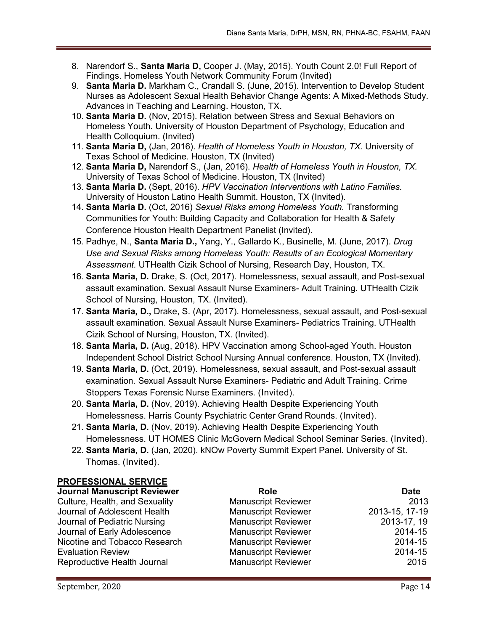- 8. Narendorf S., **Santa Maria D,** Cooper J. (May, 2015). Youth Count 2.0! Full Report of Findings. Homeless Youth Network Community Forum (Invited)
- 9. **Santa Maria D.** Markham C., Crandall S. (June, 2015). Intervention to Develop Student Nurses as Adolescent Sexual Health Behavior Change Agents: A Mixed-Methods Study. Advances in Teaching and Learning. Houston, TX.
- 10. **Santa Maria D.** (Nov, 2015). Relation between Stress and Sexual Behaviors on Homeless Youth. University of Houston Department of Psychology, Education and Health Colloquium. (Invited)
- 11. **Santa Maria D,** (Jan, 2016). *Health of Homeless Youth in Houston, TX.* University of Texas School of Medicine. Houston, TX (Invited)
- 12. **Santa Maria D,** Narendorf S., (Jan, 2016). *Health of Homeless Youth in Houston, TX.*  University of Texas School of Medicine. Houston, TX (Invited)
- 13. **Santa Maria D.** (Sept, 2016). *HPV Vaccination Interventions with Latino Families.* University of Houston Latino Health Summit. Houston, TX (Invited).
- 14. **Santa Maria D.** (Oct, 2016) *Sexual Risks among Homeless Youth.* Transforming Communities for Youth: Building Capacity and Collaboration for Health & Safety Conference Houston Health Department Panelist (Invited).
- 15. Padhye, N., **Santa Maria D.,** Yang, Y., Gallardo K., Businelle, M. (June, 2017). *Drug Use and Sexual Risks among Homeless Youth: Results of an Ecological Momentary Assessment.* UTHealth Cizik School of Nursing, Research Day, Houston, TX.
- 16. **Santa Maria, D.** Drake, S. (Oct, 2017). Homelessness, sexual assault, and Post-sexual assault examination. Sexual Assault Nurse Examiners- Adult Training. UTHealth Cizik School of Nursing, Houston, TX. (Invited).
- 17. **Santa Maria, D.,** Drake, S. (Apr, 2017). Homelessness, sexual assault, and Post-sexual assault examination. Sexual Assault Nurse Examiners- Pediatrics Training. UTHealth Cizik School of Nursing, Houston, TX. (Invited).
- 18. **Santa Maria, D.** (Aug, 2018). HPV Vaccination among School-aged Youth. Houston Independent School District School Nursing Annual conference. Houston, TX (Invited).
- 19. **Santa Maria, D.** (Oct, 2019). Homelessness, sexual assault, and Post-sexual assault examination. Sexual Assault Nurse Examiners- Pediatric and Adult Training. Crime Stoppers Texas Forensic Nurse Examiners. (Invited).
- 20. **Santa Maria, D.** (Nov, 2019). Achieving Health Despite Experiencing Youth Homelessness. Harris County Psychiatric Center Grand Rounds. (Invited).
- 21. **Santa Maria, D.** (Nov, 2019). Achieving Health Despite Experiencing Youth Homelessness. UT HOMES Clinic McGovern Medical School Seminar Series. (Invited).
- 22. **Santa Maria, D.** (Jan, 2020). kNOw Poverty Summit Expert Panel. University of St. Thomas. (Invited).

### **PROFESSIONAL SERVICE**

| <b>Journal Manuscript Reviewer</b> | <b>Role</b>                | <b>Date</b>    |
|------------------------------------|----------------------------|----------------|
| Culture, Health, and Sexuality     | <b>Manuscript Reviewer</b> | 2013           |
| Journal of Adolescent Health       | <b>Manuscript Reviewer</b> | 2013-15, 17-19 |
| Journal of Pediatric Nursing       | <b>Manuscript Reviewer</b> | 2013-17, 19    |
| Journal of Early Adolescence       | <b>Manuscript Reviewer</b> | 2014-15        |
| Nicotine and Tobacco Research      | <b>Manuscript Reviewer</b> | 2014-15        |
| <b>Evaluation Review</b>           | <b>Manuscript Reviewer</b> | 2014-15        |
| Reproductive Health Journal        | <b>Manuscript Reviewer</b> | 2015           |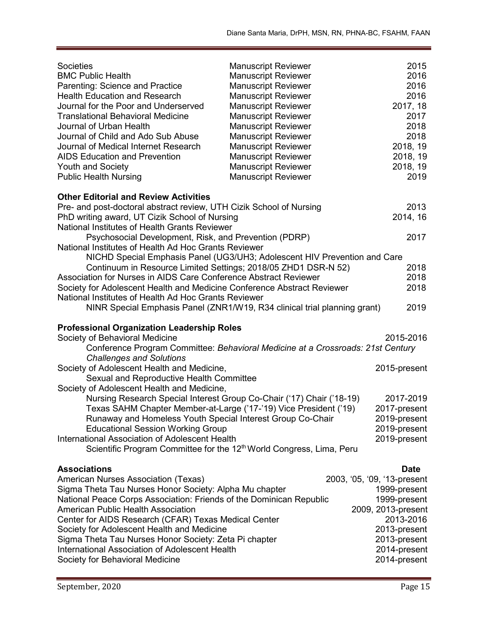| <b>Societies</b><br><b>BMC Public Health</b><br>Parenting: Science and Practice<br><b>Health Education and Research</b><br>Journal for the Poor and Underserved<br><b>Translational Behavioral Medicine</b><br>Journal of Urban Health<br>Journal of Child and Ado Sub Abuse<br>Journal of Medical Internet Research<br><b>AIDS Education and Prevention</b><br><b>Youth and Society</b><br><b>Public Health Nursing</b>        | <b>Manuscript Reviewer</b><br><b>Manuscript Reviewer</b><br><b>Manuscript Reviewer</b><br><b>Manuscript Reviewer</b><br><b>Manuscript Reviewer</b><br><b>Manuscript Reviewer</b><br><b>Manuscript Reviewer</b><br><b>Manuscript Reviewer</b><br><b>Manuscript Reviewer</b><br><b>Manuscript Reviewer</b><br><b>Manuscript Reviewer</b><br><b>Manuscript Reviewer</b> | 2015<br>2016<br>2016<br>2016<br>2017, 18<br>2017<br>2018<br>2018<br>2018, 19<br>2018, 19<br>2018, 19<br>2019 |
|---------------------------------------------------------------------------------------------------------------------------------------------------------------------------------------------------------------------------------------------------------------------------------------------------------------------------------------------------------------------------------------------------------------------------------|----------------------------------------------------------------------------------------------------------------------------------------------------------------------------------------------------------------------------------------------------------------------------------------------------------------------------------------------------------------------|--------------------------------------------------------------------------------------------------------------|
| <b>Other Editorial and Review Activities</b>                                                                                                                                                                                                                                                                                                                                                                                    |                                                                                                                                                                                                                                                                                                                                                                      |                                                                                                              |
| Pre- and post-doctoral abstract review, UTH Cizik School of Nursing                                                                                                                                                                                                                                                                                                                                                             |                                                                                                                                                                                                                                                                                                                                                                      | 2013                                                                                                         |
| PhD writing award, UT Cizik School of Nursing                                                                                                                                                                                                                                                                                                                                                                                   |                                                                                                                                                                                                                                                                                                                                                                      | 2014, 16                                                                                                     |
| National Institutes of Health Grants Reviewer                                                                                                                                                                                                                                                                                                                                                                                   |                                                                                                                                                                                                                                                                                                                                                                      |                                                                                                              |
| Psychosocial Development, Risk, and Prevention (PDRP)<br>National Institutes of Health Ad Hoc Grants Reviewer                                                                                                                                                                                                                                                                                                                   |                                                                                                                                                                                                                                                                                                                                                                      | 2017                                                                                                         |
| NICHD Special Emphasis Panel (UG3/UH3; Adolescent HIV Prevention and Care<br>Continuum in Resource Limited Settings; 2018/05 ZHD1 DSR-N 52)<br>Association for Nurses in AIDS Care Conference Abstract Reviewer<br>Society for Adolescent Health and Medicine Conference Abstract Reviewer<br>National Institutes of Health Ad Hoc Grants Reviewer<br>NINR Special Emphasis Panel (ZNR1/W19, R34 clinical trial planning grant) |                                                                                                                                                                                                                                                                                                                                                                      | 2018<br>2018<br>2018<br>2019                                                                                 |
|                                                                                                                                                                                                                                                                                                                                                                                                                                 |                                                                                                                                                                                                                                                                                                                                                                      |                                                                                                              |
| <b>Professional Organization Leadership Roles</b><br>Society of Behavioral Medicine                                                                                                                                                                                                                                                                                                                                             |                                                                                                                                                                                                                                                                                                                                                                      | 2015-2016                                                                                                    |
| Conference Program Committee: Behavioral Medicine at a Crossroads: 21st Century                                                                                                                                                                                                                                                                                                                                                 |                                                                                                                                                                                                                                                                                                                                                                      |                                                                                                              |
| <b>Challenges and Solutions</b>                                                                                                                                                                                                                                                                                                                                                                                                 |                                                                                                                                                                                                                                                                                                                                                                      |                                                                                                              |
| Society of Adolescent Health and Medicine,                                                                                                                                                                                                                                                                                                                                                                                      |                                                                                                                                                                                                                                                                                                                                                                      | 2015-present                                                                                                 |
| Sexual and Reproductive Health Committee                                                                                                                                                                                                                                                                                                                                                                                        |                                                                                                                                                                                                                                                                                                                                                                      |                                                                                                              |
| Society of Adolescent Health and Medicine,                                                                                                                                                                                                                                                                                                                                                                                      |                                                                                                                                                                                                                                                                                                                                                                      |                                                                                                              |
| Nursing Research Special Interest Group Co-Chair ('17) Chair ('18-19)<br>Texas SAHM Chapter Member-at-Large ('17-'19) Vice President ('19)                                                                                                                                                                                                                                                                                      |                                                                                                                                                                                                                                                                                                                                                                      | 2017-2019<br>2017-present                                                                                    |
| Runaway and Homeless Youth Special Interest Group Co-Chair                                                                                                                                                                                                                                                                                                                                                                      |                                                                                                                                                                                                                                                                                                                                                                      | 2019-present                                                                                                 |
| <b>Educational Session Working Group</b>                                                                                                                                                                                                                                                                                                                                                                                        |                                                                                                                                                                                                                                                                                                                                                                      | 2019-present                                                                                                 |
| International Association of Adolescent Health                                                                                                                                                                                                                                                                                                                                                                                  |                                                                                                                                                                                                                                                                                                                                                                      | 2019-present                                                                                                 |
| Scientific Program Committee for the 12 <sup>th</sup> World Congress, Lima, Peru                                                                                                                                                                                                                                                                                                                                                |                                                                                                                                                                                                                                                                                                                                                                      |                                                                                                              |
| <b>Associations</b>                                                                                                                                                                                                                                                                                                                                                                                                             |                                                                                                                                                                                                                                                                                                                                                                      | <b>Date</b>                                                                                                  |
| American Nurses Association (Texas)                                                                                                                                                                                                                                                                                                                                                                                             |                                                                                                                                                                                                                                                                                                                                                                      | 2003, '05, '09, '13-present                                                                                  |
| Sigma Theta Tau Nurses Honor Society: Alpha Mu chapter                                                                                                                                                                                                                                                                                                                                                                          |                                                                                                                                                                                                                                                                                                                                                                      | 1999-present                                                                                                 |
| National Peace Corps Association: Friends of the Dominican Republic                                                                                                                                                                                                                                                                                                                                                             |                                                                                                                                                                                                                                                                                                                                                                      | 1999-present                                                                                                 |
| <b>American Public Health Association</b><br>Center for AIDS Research (CFAR) Texas Medical Center                                                                                                                                                                                                                                                                                                                               |                                                                                                                                                                                                                                                                                                                                                                      | 2009, 2013-present<br>2013-2016                                                                              |
| Society for Adolescent Health and Medicine                                                                                                                                                                                                                                                                                                                                                                                      |                                                                                                                                                                                                                                                                                                                                                                      | 2013-present                                                                                                 |
| Sigma Theta Tau Nurses Honor Society: Zeta Pi chapter                                                                                                                                                                                                                                                                                                                                                                           |                                                                                                                                                                                                                                                                                                                                                                      | 2013-present                                                                                                 |
| International Association of Adolescent Health                                                                                                                                                                                                                                                                                                                                                                                  |                                                                                                                                                                                                                                                                                                                                                                      | 2014-present                                                                                                 |
| Society for Behavioral Medicine                                                                                                                                                                                                                                                                                                                                                                                                 |                                                                                                                                                                                                                                                                                                                                                                      | 2014-present                                                                                                 |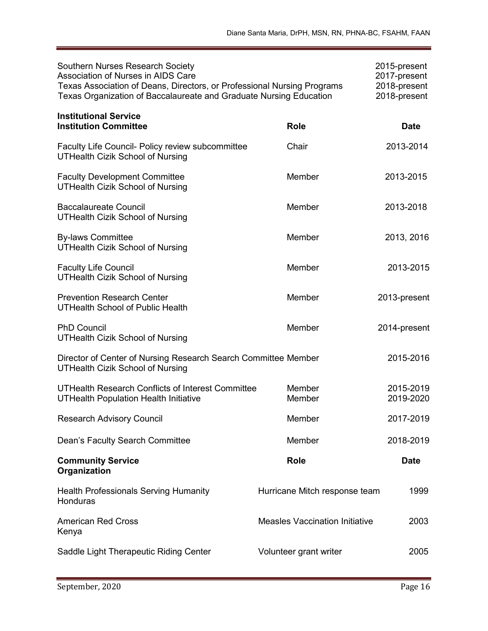| <b>Southern Nurses Research Society</b><br>Association of Nurses in AIDS Care<br>Texas Association of Deans, Directors, or Professional Nursing Programs<br>Texas Organization of Baccalaureate and Graduate Nursing Education |                                       | 2015-present<br>2017-present<br>2018-present<br>2018-present |
|--------------------------------------------------------------------------------------------------------------------------------------------------------------------------------------------------------------------------------|---------------------------------------|--------------------------------------------------------------|
| <b>Institutional Service</b><br><b>Institution Committee</b>                                                                                                                                                                   | <b>Role</b>                           | <b>Date</b>                                                  |
| Faculty Life Council- Policy review subcommittee<br><b>UTHealth Cizik School of Nursing</b>                                                                                                                                    | Chair                                 | 2013-2014                                                    |
| <b>Faculty Development Committee</b><br><b>UTHealth Cizik School of Nursing</b>                                                                                                                                                | Member                                | 2013-2015                                                    |
| <b>Baccalaureate Council</b><br><b>UTHealth Cizik School of Nursing</b>                                                                                                                                                        | Member                                | 2013-2018                                                    |
| <b>By-laws Committee</b><br><b>UTHealth Cizik School of Nursing</b>                                                                                                                                                            | Member                                | 2013, 2016                                                   |
| <b>Faculty Life Council</b><br><b>UTHealth Cizik School of Nursing</b>                                                                                                                                                         | Member                                | 2013-2015                                                    |
| <b>Prevention Research Center</b><br><b>UTHealth School of Public Health</b>                                                                                                                                                   | Member                                | 2013-present                                                 |
| <b>PhD Council</b><br><b>UTHealth Cizik School of Nursing</b>                                                                                                                                                                  | Member                                | 2014-present                                                 |
| Director of Center of Nursing Research Search Committee Member<br><b>UTHealth Cizik School of Nursing</b>                                                                                                                      |                                       | 2015-2016                                                    |
| UTHealth Research Conflicts of Interest Committee<br><b>UTHealth Population Health Initiative</b>                                                                                                                              | Member<br>Member                      | 2015-2019<br>2019-2020                                       |
| <b>Research Advisory Council</b>                                                                                                                                                                                               | Member                                | 2017-2019                                                    |
| Dean's Faculty Search Committee                                                                                                                                                                                                | Member                                | 2018-2019                                                    |
| <b>Community Service</b><br>Organization                                                                                                                                                                                       | <b>Role</b>                           | <b>Date</b>                                                  |
| <b>Health Professionals Serving Humanity</b><br>Honduras                                                                                                                                                                       | Hurricane Mitch response team         | 1999                                                         |
| <b>American Red Cross</b><br>Kenya                                                                                                                                                                                             | <b>Measles Vaccination Initiative</b> | 2003                                                         |
| Saddle Light Therapeutic Riding Center                                                                                                                                                                                         | Volunteer grant writer                | 2005                                                         |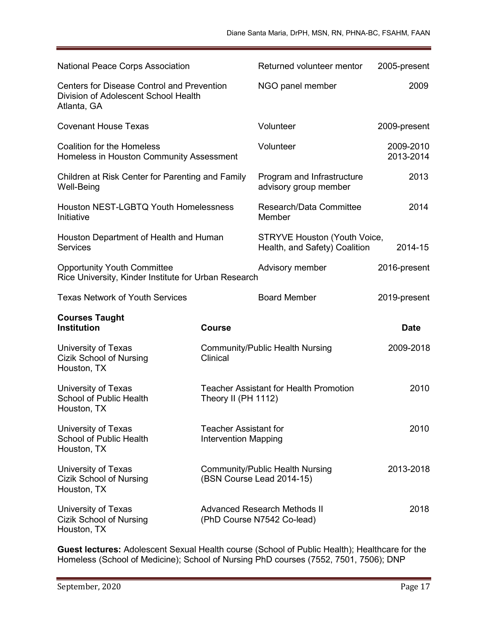| <b>National Peace Corps Association</b>                                                                  |                                                      | Returned volunteer mentor                                            | 2005-present           |
|----------------------------------------------------------------------------------------------------------|------------------------------------------------------|----------------------------------------------------------------------|------------------------|
| <b>Centers for Disease Control and Prevention</b><br>Division of Adolescent School Health<br>Atlanta, GA |                                                      | NGO panel member                                                     | 2009                   |
| <b>Covenant House Texas</b>                                                                              |                                                      | Volunteer                                                            | 2009-present           |
| <b>Coalition for the Homeless</b><br>Homeless in Houston Community Assessment                            |                                                      | Volunteer                                                            | 2009-2010<br>2013-2014 |
| Children at Risk Center for Parenting and Family<br>Well-Being                                           |                                                      | Program and Infrastructure<br>advisory group member                  | 2013                   |
| <b>Houston NEST-LGBTQ Youth Homelessness</b><br>Initiative                                               |                                                      | Research/Data Committee<br>Member                                    | 2014                   |
| Houston Department of Health and Human<br><b>Services</b>                                                |                                                      | <b>STRYVE Houston (Youth Voice,</b><br>Health, and Safety) Coalition | 2014-15                |
| <b>Opportunity Youth Committee</b><br>Rice University, Kinder Institute for Urban Research               |                                                      | Advisory member                                                      | 2016-present           |
| <b>Texas Network of Youth Services</b>                                                                   |                                                      | <b>Board Member</b>                                                  | 2019-present           |
| <b>Courses Taught</b><br><b>Institution</b>                                                              | <b>Course</b>                                        |                                                                      | <b>Date</b>            |
| University of Texas<br><b>Cizik School of Nursing</b><br>Houston, TX                                     | Clinical                                             | <b>Community/Public Health Nursing</b>                               | 2009-2018              |
| University of Texas<br>School of Public Health<br>Houston, TX                                            | Theory II (PH 1112)                                  | <b>Teacher Assistant for Health Promotion</b>                        | 2010                   |
| University of Texas<br>School of Public Health<br>Houston, TX                                            | Teacher Assistant for<br><b>Intervention Mapping</b> |                                                                      | 2010                   |
| University of Texas<br><b>Cizik School of Nursing</b><br>Houston, TX                                     |                                                      | <b>Community/Public Health Nursing</b><br>(BSN Course Lead 2014-15)  | 2013-2018              |
| University of Texas<br>Cizik School of Nursing<br>Houston, TX                                            |                                                      | Advanced Research Methods II<br>(PhD Course N7542 Co-lead)           | 2018                   |

**Guest lectures:** Adolescent Sexual Health course (School of Public Health); Healthcare for the Homeless (School of Medicine); School of Nursing PhD courses (7552, 7501, 7506); DNP